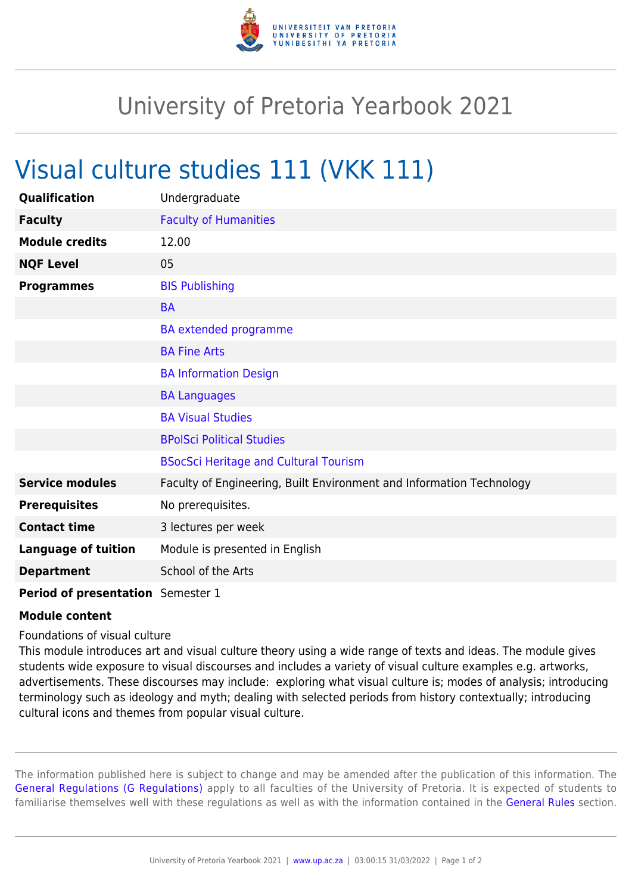

## University of Pretoria Yearbook 2021

## Visual culture studies 111 (VKK 111)

| Qualification                     | Undergraduate                                                        |
|-----------------------------------|----------------------------------------------------------------------|
| <b>Faculty</b>                    | <b>Faculty of Humanities</b>                                         |
| <b>Module credits</b>             | 12.00                                                                |
| <b>NQF Level</b>                  | 05                                                                   |
| <b>Programmes</b>                 | <b>BIS Publishing</b>                                                |
|                                   | <b>BA</b>                                                            |
|                                   | <b>BA</b> extended programme                                         |
|                                   | <b>BA Fine Arts</b>                                                  |
|                                   | <b>BA Information Design</b>                                         |
|                                   | <b>BA Languages</b>                                                  |
|                                   | <b>BA Visual Studies</b>                                             |
|                                   | <b>BPolSci Political Studies</b>                                     |
|                                   | <b>BSocSci Heritage and Cultural Tourism</b>                         |
| <b>Service modules</b>            | Faculty of Engineering, Built Environment and Information Technology |
| <b>Prerequisites</b>              | No prerequisites.                                                    |
| <b>Contact time</b>               | 3 lectures per week                                                  |
| <b>Language of tuition</b>        | Module is presented in English                                       |
| <b>Department</b>                 | School of the Arts                                                   |
| Period of presentation Semester 1 |                                                                      |

## **Module content**

Foundations of visual culture

This module introduces art and visual culture theory using a wide range of texts and ideas. The module gives students wide exposure to visual discourses and includes a variety of visual culture examples e.g. artworks, advertisements. These discourses may include: exploring what visual culture is; modes of analysis; introducing terminology such as ideology and myth; dealing with selected periods from history contextually; introducing cultural icons and themes from popular visual culture.

The information published here is subject to change and may be amended after the publication of this information. The [General Regulations \(G Regulations\)](https://www.up.ac.za/parents/yearbooks/2021/rules/view/REG) apply to all faculties of the University of Pretoria. It is expected of students to familiarise themselves well with these regulations as well as with the information contained in the [General Rules](https://www.up.ac.za/parents/yearbooks/2021/rules/view/RUL) section.